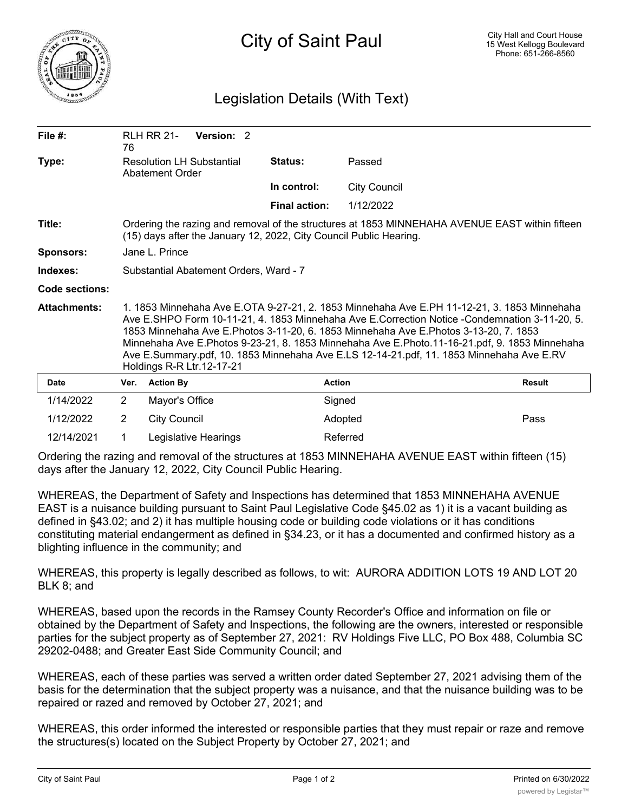

## Legislation Details (With Text)

| File #:             | 76                                                                                                                                                                                                                                                                                                                                                                                                                                                                                                             | <b>RLH RR 21-</b>   | Version: 2           |                      |                     |               |
|---------------------|----------------------------------------------------------------------------------------------------------------------------------------------------------------------------------------------------------------------------------------------------------------------------------------------------------------------------------------------------------------------------------------------------------------------------------------------------------------------------------------------------------------|---------------------|----------------------|----------------------|---------------------|---------------|
| Type:               | <b>Resolution LH Substantial</b><br>Abatement Order                                                                                                                                                                                                                                                                                                                                                                                                                                                            |                     |                      | Status:              | Passed              |               |
|                     |                                                                                                                                                                                                                                                                                                                                                                                                                                                                                                                |                     |                      | In control:          | <b>City Council</b> |               |
|                     |                                                                                                                                                                                                                                                                                                                                                                                                                                                                                                                |                     |                      | <b>Final action:</b> | 1/12/2022           |               |
| Title:              | Ordering the razing and removal of the structures at 1853 MINNEHAHA AVENUE EAST within fifteen<br>(15) days after the January 12, 2022, City Council Public Hearing.                                                                                                                                                                                                                                                                                                                                           |                     |                      |                      |                     |               |
| <b>Sponsors:</b>    | Jane L. Prince                                                                                                                                                                                                                                                                                                                                                                                                                                                                                                 |                     |                      |                      |                     |               |
| Indexes:            | Substantial Abatement Orders, Ward - 7                                                                                                                                                                                                                                                                                                                                                                                                                                                                         |                     |                      |                      |                     |               |
| Code sections:      |                                                                                                                                                                                                                                                                                                                                                                                                                                                                                                                |                     |                      |                      |                     |               |
| <b>Attachments:</b> | 1. 1853 Minnehaha Ave E.OTA 9-27-21, 2. 1853 Minnehaha Ave E.PH 11-12-21, 3. 1853 Minnehaha<br>Ave E.SHPO Form 10-11-21, 4. 1853 Minnehaha Ave E.Correction Notice -Condemnation 3-11-20, 5.<br>1853 Minnehaha Ave E.Photos 3-11-20, 6. 1853 Minnehaha Ave E.Photos 3-13-20, 7. 1853<br>Minnehaha Ave E.Photos 9-23-21, 8. 1853 Minnehaha Ave E.Photo.11-16-21.pdf, 9. 1853 Minnehaha<br>Ave E.Summary.pdf, 10. 1853 Minnehaha Ave E.LS 12-14-21.pdf, 11. 1853 Minnehaha Ave E.RV<br>Holdings R-R Ltr.12-17-21 |                     |                      |                      |                     |               |
| Date                | Ver.                                                                                                                                                                                                                                                                                                                                                                                                                                                                                                           | <b>Action By</b>    |                      | <b>Action</b>        |                     | <b>Result</b> |
| 1/14/2022           | $\overline{2}$                                                                                                                                                                                                                                                                                                                                                                                                                                                                                                 | Mayor's Office      |                      |                      | Signed              |               |
| 1/12/2022           | $\overline{2}$                                                                                                                                                                                                                                                                                                                                                                                                                                                                                                 | <b>City Council</b> |                      |                      | Adopted             | Pass          |
| 12/14/2021          | 1                                                                                                                                                                                                                                                                                                                                                                                                                                                                                                              |                     | Legislative Hearings |                      | Referred            |               |

Ordering the razing and removal of the structures at 1853 MINNEHAHA AVENUE EAST within fifteen (15) days after the January 12, 2022, City Council Public Hearing.

WHEREAS, the Department of Safety and Inspections has determined that 1853 MINNEHAHA AVENUE EAST is a nuisance building pursuant to Saint Paul Legislative Code §45.02 as 1) it is a vacant building as defined in §43.02; and 2) it has multiple housing code or building code violations or it has conditions constituting material endangerment as defined in §34.23, or it has a documented and confirmed history as a blighting influence in the community; and

WHEREAS, this property is legally described as follows, to wit: AURORA ADDITION LOTS 19 AND LOT 20 BLK 8; and

WHEREAS, based upon the records in the Ramsey County Recorder's Office and information on file or obtained by the Department of Safety and Inspections, the following are the owners, interested or responsible parties for the subject property as of September 27, 2021: RV Holdings Five LLC, PO Box 488, Columbia SC 29202-0488; and Greater East Side Community Council; and

WHEREAS, each of these parties was served a written order dated September 27, 2021 advising them of the basis for the determination that the subject property was a nuisance, and that the nuisance building was to be repaired or razed and removed by October 27, 2021; and

WHEREAS, this order informed the interested or responsible parties that they must repair or raze and remove the structures(s) located on the Subject Property by October 27, 2021; and